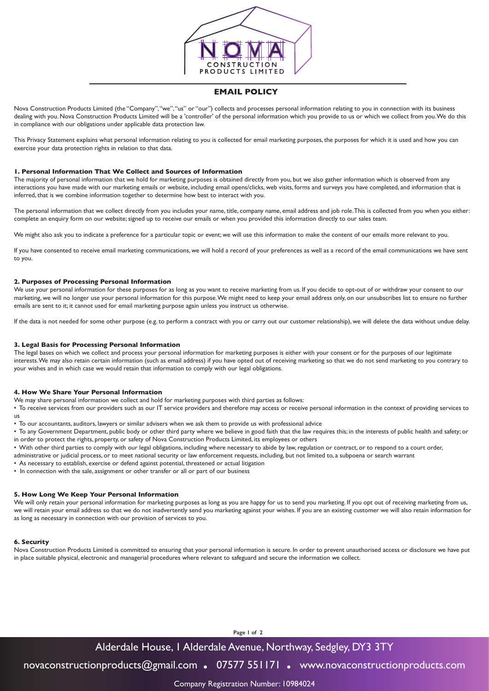

# **EMAIL POLICY**

Nova Construction Products Limited (the "Company", "we", "us" or "our") collects and processes personal information relating to you in connection with its business dealing with you. Nova Construction Products Limited will be a 'controller' of the personal information which you provide to us or which we collect from you. We do this in compliance with our obligations under applicable data protection law.

This Privacy Statement explains what personal information relating to you is collected for email marketing purposes, the purposes for which it is used and how you can exercise your data protection rights in relation to that data.

## **1. Personal Information That We Collect and Sources of Information**

The majority of personal information that we hold for marketing purposes is obtained directly from you, but we also gather information which is observed from any interactions you have made with our marketing emails or website, including email opens/clicks, web visits, forms and surveys you have completed, and information that is inferred, that is we combine information together to determine how best to interact with you.

The personal information that we collect directly from you includes your name, title, company name, email address and job role. This is collected from you when you either: complete an enquiry form on our website; signed up to receive our emails or when you provided this information directly to our sales team.

We might also ask you to indicate a preference for a particular topic or event; we will use this information to make the content of our emails more relevant to you.

If you have consented to receive email marketing communications, we will hold a record of your preferences as well as a record of the email communications we have sent to you.

# **2. Purposes of Processing Personal Information**

We use your personal information for these purposes for as long as you want to receive marketing from us. If you decide to opt-out of or withdraw your consent to our marketing, we will no longer use your personal information for this purpose. We might need to keep your email address only, on our unsubscribes list to ensure no further emails are sent to it; it cannot used for email marketing purpose again unless you instruct us otherwise.

If the data is not needed for some other purpose (e.g. to perform a contract with you or carry out our customer relationship), we will delete the data without undue delay.

### **3. Legal Basis for Processing Personal Information**

The legal bases on which we collect and process your personal information for marketing purposes is either with your consent or for the purposes of our legitimate interests. We may also retain certain information (such as email address) if you have opted out of receiving marketing so that we do not send marketing to you contrary to your wishes and in which case we would retain that information to comply with our legal obligations.

#### **4. How We Share Your Personal Information**

We may share personal information we collect and hold for marketing purposes with third parties as follows:

• To receive services from our providers such as our IT service providers and therefore may access or receive personal information in the context of providing services to us

• To our accountants, auditors, lawyers or similar advisers when we ask them to provide us with professional advice

• To any Government Department, public body or other third party where we believe in good faith that the law requires this; in the interests of public health and safety; or in order to protect the rights, property, or safety of Nova Construction Products Limited, its employees or others

• With other third parties to comply with our legal obligations, including where necessary to abide by law, regulation or contract, or to respond to a court order,

administrative or judicial process, or to meet national security or law enforcement requests, including, but not limited to, a subpoena or search warrant

• As necessary to establish, exercise or defend against potential, threatened or actual litigation

• In connection with the sale, assignment or other transfer or all or part of our business

## **5. How Long We Keep Your Personal Information**

We will only retain your personal information for marketing purposes as long as you are happy for us to send you marketing. If you opt out of receiving marketing from us, we will retain your email address so that we do not inadvertently send you marketing against your wishes. If you are an existing customer we will also retain information for as long as necessary in connection with our provision of services to you.

# **6. Security**

Nova Construction Products Limited is committed to ensuring that your personal information is secure. In order to prevent unauthorised access or disclosure we have put in place suitable physical, electronic and managerial procedures where relevant to safeguard and secure the information we collect.

**Page 1 of 2**

# Alderdale House, 1 Alderdale Avenue, Northway, Sedgley, DY3 3TY

novaconstructionproducts@gmail.com **.** 07577 551171 **.** www.novaconstructionproducts.com